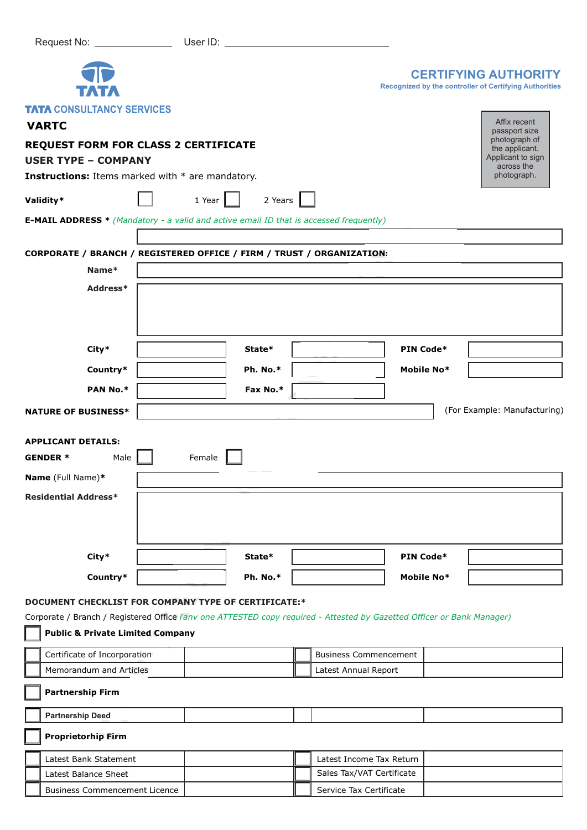|                                                                                                                                                                       |        |                        |  |                              |            | <b>CERTIFYING AUTHORITY</b><br>Recognized by the controller of Certifying Authorities |
|-----------------------------------------------------------------------------------------------------------------------------------------------------------------------|--------|------------------------|--|------------------------------|------------|---------------------------------------------------------------------------------------|
| <b>TATA CONSULTANCY SERVICES</b><br><b>VARTC</b>                                                                                                                      |        |                        |  |                              |            | Affix recent<br>passport size                                                         |
| <b>REQUEST FORM FOR CLASS 2 CERTIFICATE</b>                                                                                                                           |        |                        |  |                              |            | photograph of<br>the applicant.                                                       |
| <b>USER TYPE - COMPANY</b>                                                                                                                                            |        |                        |  |                              |            | Applicant to sign<br>across the                                                       |
| <b>Instructions:</b> Items marked with * are mandatory.                                                                                                               |        |                        |  |                              |            | photograph.                                                                           |
| Validity*                                                                                                                                                             | 1 Year | 2 Years $\blacksquare$ |  |                              |            |                                                                                       |
| <b>E-MAIL ADDRESS</b> * (Mandatory - a valid and active email ID that is accessed frequently)                                                                         |        |                        |  |                              |            |                                                                                       |
|                                                                                                                                                                       |        |                        |  |                              |            |                                                                                       |
| CORPORATE / BRANCH / REGISTERED OFFICE / FIRM / TRUST / ORGANIZATION:                                                                                                 |        |                        |  |                              |            |                                                                                       |
| Name*                                                                                                                                                                 |        |                        |  |                              |            |                                                                                       |
| Address*                                                                                                                                                              |        |                        |  |                              |            |                                                                                       |
|                                                                                                                                                                       |        |                        |  |                              |            |                                                                                       |
|                                                                                                                                                                       |        |                        |  |                              |            |                                                                                       |
|                                                                                                                                                                       |        |                        |  |                              |            |                                                                                       |
| City*                                                                                                                                                                 |        | State*                 |  |                              | PIN Code*  |                                                                                       |
| Country*                                                                                                                                                              |        | Ph. No.*               |  |                              | Mobile No* |                                                                                       |
| PAN No.*                                                                                                                                                              |        | Fax No.*               |  |                              |            |                                                                                       |
|                                                                                                                                                                       |        |                        |  |                              |            |                                                                                       |
| (For Example: Manufacturing)<br><b>NATURE OF BUSINESS*</b>                                                                                                            |        |                        |  |                              |            |                                                                                       |
|                                                                                                                                                                       |        |                        |  |                              |            |                                                                                       |
|                                                                                                                                                                       |        |                        |  |                              |            |                                                                                       |
| <b>APPLICANT DETAILS:</b>                                                                                                                                             |        |                        |  |                              |            |                                                                                       |
| Male<br><b>GENDER *</b>                                                                                                                                               | Female |                        |  |                              |            |                                                                                       |
| Name (Full Name)*                                                                                                                                                     |        |                        |  |                              |            |                                                                                       |
| <b>Residential Address*</b>                                                                                                                                           |        |                        |  |                              |            |                                                                                       |
|                                                                                                                                                                       |        |                        |  |                              |            |                                                                                       |
|                                                                                                                                                                       |        |                        |  |                              |            |                                                                                       |
|                                                                                                                                                                       |        |                        |  |                              |            |                                                                                       |
| City*                                                                                                                                                                 |        | State*                 |  |                              | PIN Code*  |                                                                                       |
| Country*                                                                                                                                                              |        | Ph. No.*               |  |                              | Mobile No* |                                                                                       |
|                                                                                                                                                                       |        |                        |  |                              |            |                                                                                       |
| DOCUMENT CHECKLIST FOR COMPANY TYPE OF CERTIFICATE:*                                                                                                                  |        |                        |  |                              |            |                                                                                       |
| Corporate / Branch / Registered Office (anv one ATTESTED copy required - Attested by Gazetted Officer or Bank Manager)<br><b>Public &amp; Private Limited Company</b> |        |                        |  |                              |            |                                                                                       |
| Certificate of Incorporation                                                                                                                                          |        |                        |  | <b>Business Commencement</b> |            |                                                                                       |
| Memorandum and Articles                                                                                                                                               |        |                        |  | Latest Annual Report         |            |                                                                                       |
| <b>Partnership Firm</b>                                                                                                                                               |        |                        |  |                              |            |                                                                                       |
| <b>Partnership Deed</b>                                                                                                                                               |        |                        |  |                              |            |                                                                                       |
| <b>Proprietorhip Firm</b>                                                                                                                                             |        |                        |  |                              |            |                                                                                       |
| Latest Bank Statement                                                                                                                                                 |        |                        |  | Latest Income Tax Return     |            |                                                                                       |
| Latest Balance Sheet                                                                                                                                                  |        |                        |  | Sales Tax/VAT Certificate    |            |                                                                                       |